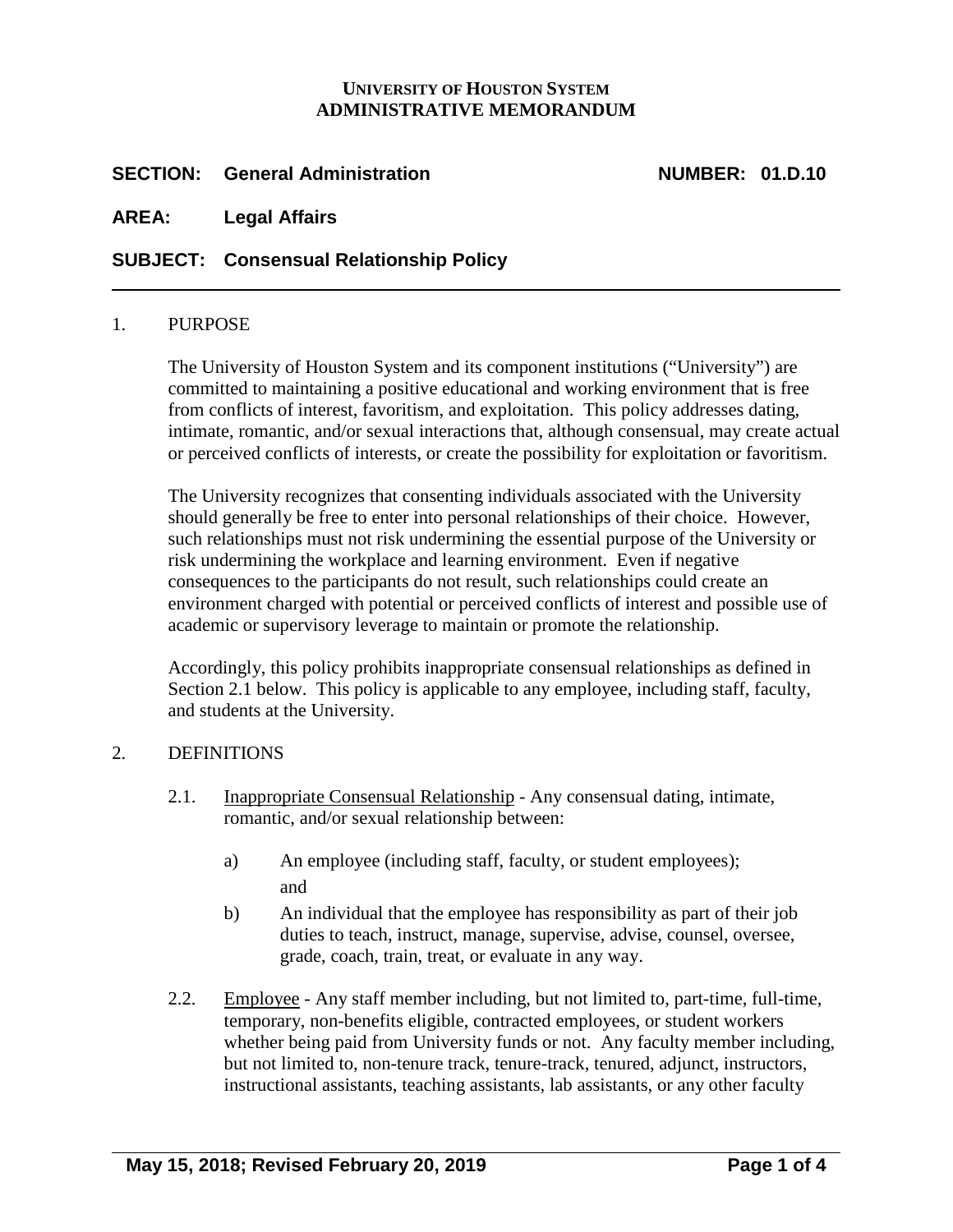## **UNIVERSITY OF HOUSTON SYSTEM ADMINISTRATIVE MEMORANDUM**

## **SECTION: General Administration NUMBER: 01.D.10**

**AREA: Legal Affairs**

# **SUBJECT: Consensual Relationship Policy**

#### 1. PURPOSE

The University of Houston System and its component institutions ("University") are committed to maintaining a positive educational and working environment that is free from conflicts of interest, favoritism, and exploitation. This policy addresses dating, intimate, romantic, and/or sexual interactions that, although consensual, may create actual or perceived conflicts of interests, or create the possibility for exploitation or favoritism.

The University recognizes that consenting individuals associated with the University should generally be free to enter into personal relationships of their choice. However, such relationships must not risk undermining the essential purpose of the University or risk undermining the workplace and learning environment. Even if negative consequences to the participants do not result, such relationships could create an environment charged with potential or perceived conflicts of interest and possible use of academic or supervisory leverage to maintain or promote the relationship.

Accordingly, this policy prohibits inappropriate consensual relationships as defined in Section 2.1 below. This policy is applicable to any employee, including staff, faculty, and students at the University.

#### 2. DEFINITIONS

- 2.1. Inappropriate Consensual Relationship Any consensual dating, intimate, romantic, and/or sexual relationship between:
	- a) An employee (including staff, faculty, or student employees); and
	- b) An individual that the employee has responsibility as part of their job duties to teach, instruct, manage, supervise, advise, counsel, oversee, grade, coach, train, treat, or evaluate in any way.
- 2.2. Employee Any staff member including, but not limited to, part-time, full-time, temporary, non-benefits eligible, contracted employees, or student workers whether being paid from University funds or not. Any faculty member including, but not limited to, non-tenure track, tenure-track, tenured, adjunct, instructors, instructional assistants, teaching assistants, lab assistants, or any other faculty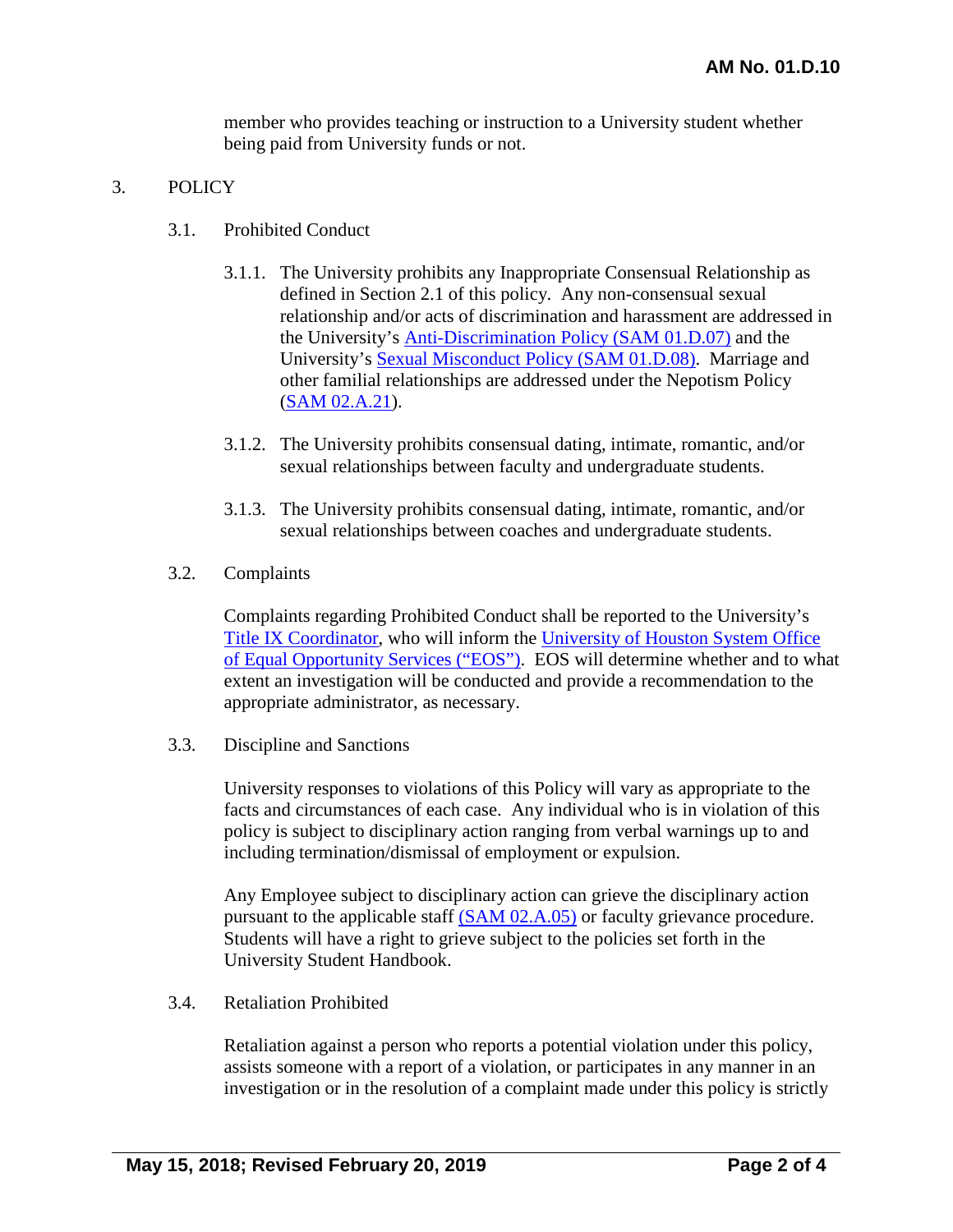member who provides teaching or instruction to a University student whether being paid from University funds or not.

## 3. POLICY

- 3.1. Prohibited Conduct
	- 3.1.1. The University prohibits any Inappropriate Consensual Relationship as defined in Section 2.1 of this policy. Any non-consensual sexual relationship and/or acts of discrimination and harassment are addressed in the University's Anti-Discrimination [Policy \(SAM 01.D.07\)](http://www.uh.edu/af/universityservices/policies/sam/1GenAdmin/1D7.pdf) and the University's [Sexual Misconduct Policy \(SAM 01.D.08\).](http://www.uh.edu/af/universityservices/policies/sam/1GenAdmin/1D8.pdf) Marriage and other familial relationships are addressed under the Nepotism Policy [\(SAM 02.A.21\)](http://www.uh.edu/af/universityservices/policies/sam/2HumanResources/2A21.pdf).
	- 3.1.2. The University prohibits consensual dating, intimate, romantic, and/or sexual relationships between faculty and undergraduate students.
	- 3.1.3. The University prohibits consensual dating, intimate, romantic, and/or sexual relationships between coaches and undergraduate students.
- 3.2. Complaints

Complaints regarding Prohibited Conduct shall be reported to the University's [Title IX Coordinator,](http://www.uhsystem.edu/students/salutations/contacts/) who will inform the [University of Houston System Office](http://www.uh.edu/equal-opportunity/)  [of Equal Opportunity Services \("EOS"\).](http://www.uh.edu/equal-opportunity/) EOS will determine whether and to what extent an investigation will be conducted and provide a recommendation to the appropriate administrator, as necessary.

3.3. Discipline and Sanctions

University responses to violations of this Policy will vary as appropriate to the facts and circumstances of each case. Any individual who is in violation of this policy is subject to disciplinary action ranging from verbal warnings up to and including termination/dismissal of employment or expulsion.

Any Employee subject to disciplinary action can grieve the disciplinary action pursuant to the applicable staff [\(SAM 02.A.05\)](http://www.uh.edu/af/universityservices/policies/sam/2HumanResources/2A5.pdf) or faculty grievance procedure. Students will have a right to grieve subject to the policies set forth in the University Student Handbook.

3.4. Retaliation Prohibited

Retaliation against a person who reports a potential violation under this policy, assists someone with a report of a violation, or participates in any manner in an investigation or in the resolution of a complaint made under this policy is strictly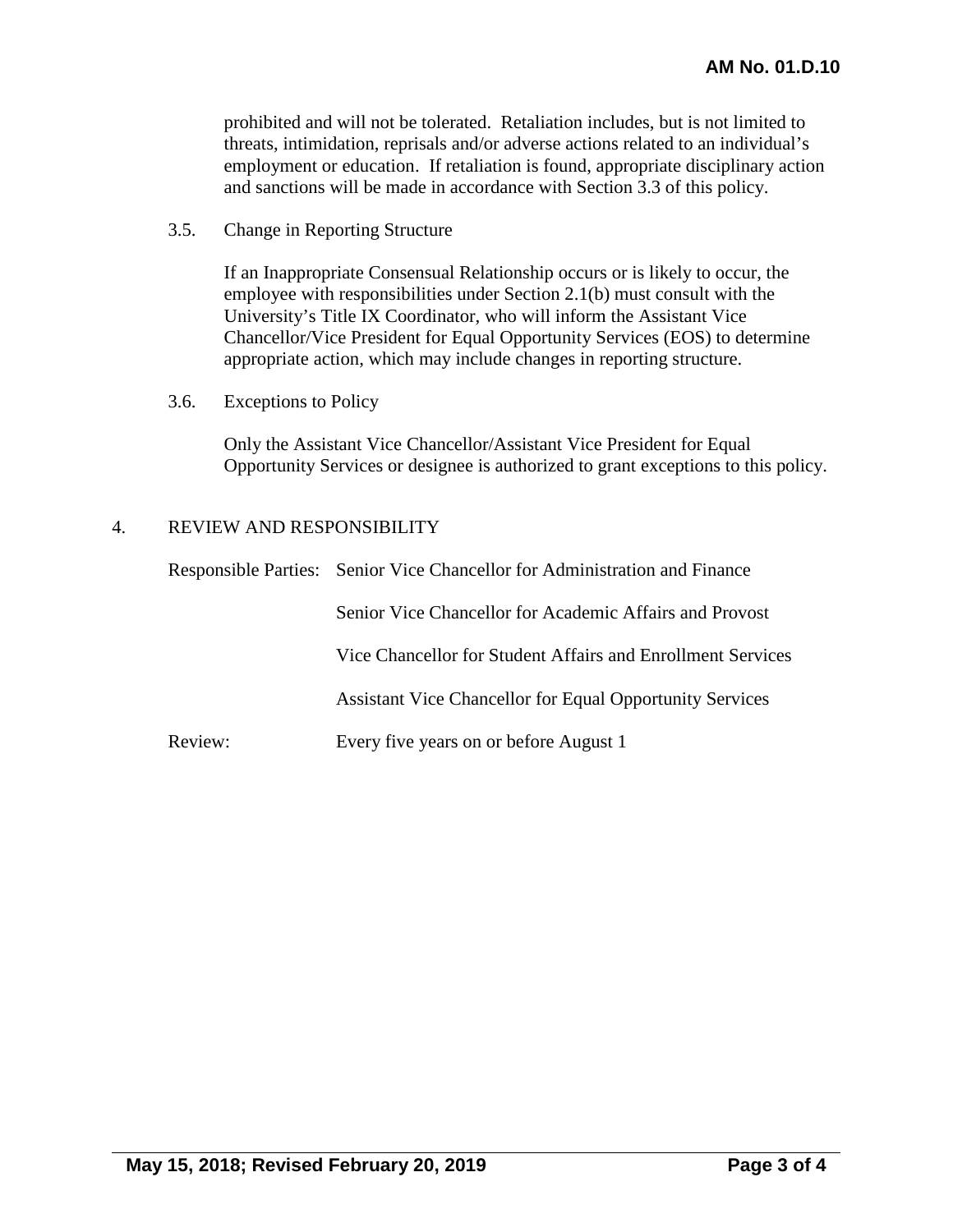prohibited and will not be tolerated. Retaliation includes, but is not limited to threats, intimidation, reprisals and/or adverse actions related to an individual's employment or education. If retaliation is found, appropriate disciplinary action and sanctions will be made in accordance with Section 3.3 of this policy.

3.5. Change in Reporting Structure

If an Inappropriate Consensual Relationship occurs or is likely to occur, the employee with responsibilities under Section 2.1(b) must consult with the University's Title IX Coordinator, who will inform the Assistant Vice Chancellor/Vice President for Equal Opportunity Services (EOS) to determine appropriate action, which may include changes in reporting structure.

3.6. Exceptions to Policy

Only the Assistant Vice Chancellor/Assistant Vice President for Equal Opportunity Services or designee is authorized to grant exceptions to this policy.

#### 4. REVIEW AND RESPONSIBILITY

|         | Responsible Parties: Senior Vice Chancellor for Administration and Finance |  |
|---------|----------------------------------------------------------------------------|--|
|         | Senior Vice Chancellor for Academic Affairs and Provost                    |  |
|         | Vice Chancellor for Student Affairs and Enrollment Services                |  |
|         | <b>Assistant Vice Chancellor for Equal Opportunity Services</b>            |  |
| Review: | Every five years on or before August 1                                     |  |